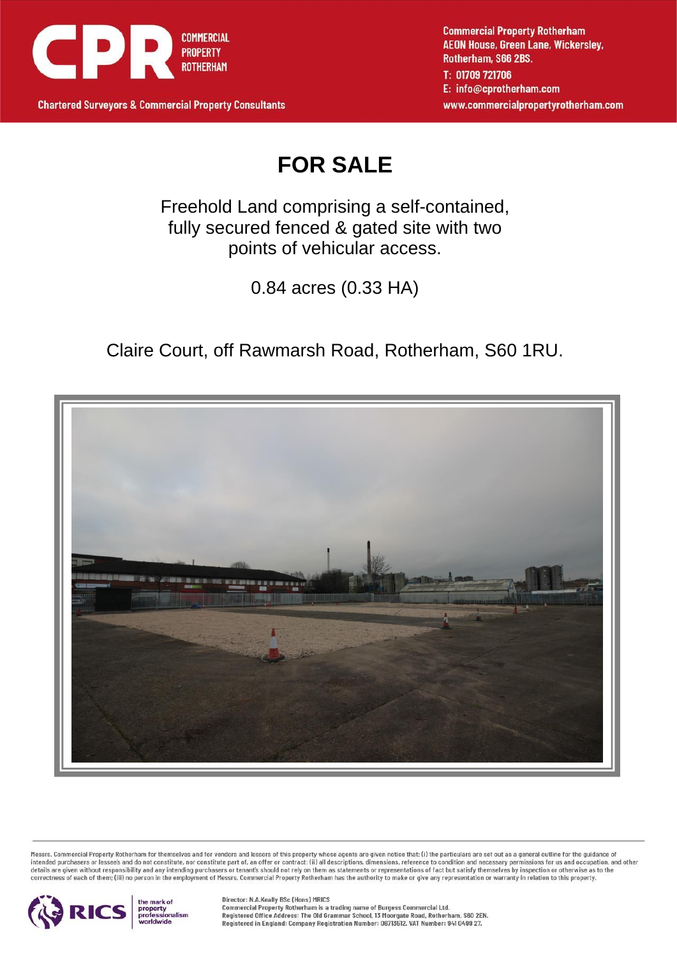

**Commercial Property Rotherham AEON House, Green Lane, Wickersley,** Rotherham, S66 2BS. T: 01709 721706 E: info@cprotherham.com www.commercialpropertyrotherham.com

# **FOR SALE**

Freehold Land comprising a self-contained, fully secured fenced & gated site with two points of vehicular access.

0.84 acres (0.33 HA)

Claire Court, off Rawmarsh Road, Rotherham, S60 1RU.



Messrs. Commercial Property Rotherham for themselves and for vendors and lessors of this property whose agents are given notice that: (i) the particulars are set out as a general outline for the quidance of intended purchasers or lessee's and do not constitute, nor constitute part of, an offer or contract: (ii) all descriptions, dimensions, reference to condition and necessary permissions for us and occupation, and other<br>deta correctness of each of them; (iii) no person in the employment of Messrs. Commercial Property Rotherham has the authority to make or give any representation or warranty in relation to this property.



#### Director: N.A.Keally BSc (Hons) MRICS Commercial Property Rotherham is a trading name of Burgess Commercial Ltd. Registered Office Address: The Old Grammar School, 13 Moorgate Road, Rotherham, S60 2EN.<br>Registered in England: Company Registration Number: 06713512. VAT Number: 941 0499 27.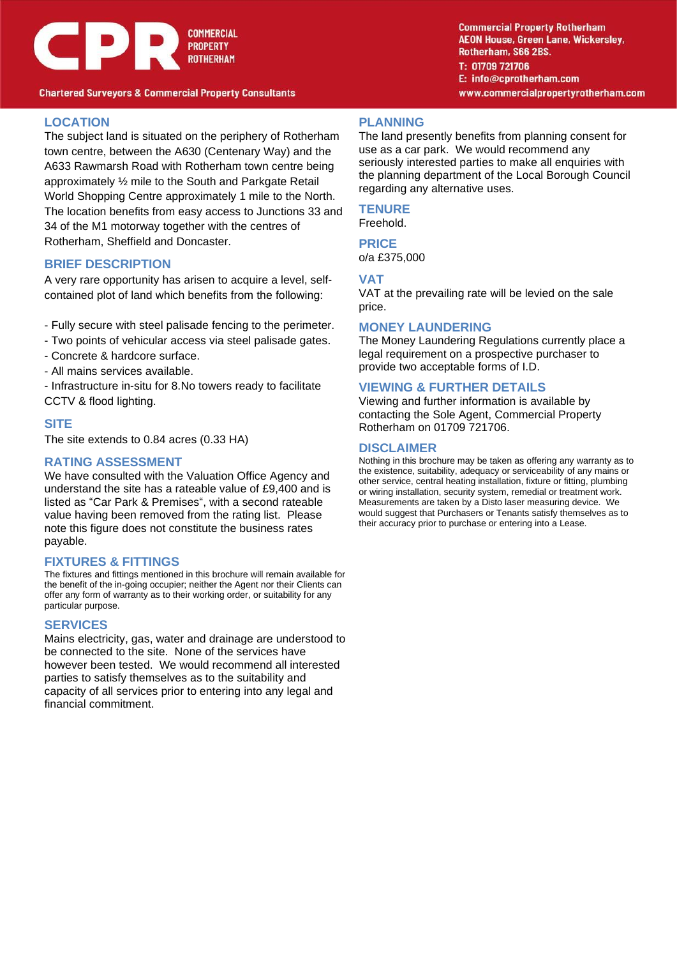

## **LOCATION**

The subject land is situated on the periphery of Rotherham town centre, between the A630 (Centenary Way) and the A633 Rawmarsh Road with Rotherham town centre being approximately ½ mile to the South and Parkgate Retail World Shopping Centre approximately 1 mile to the North. The location benefits from easy access to Junctions 33 and 34 of the M1 motorway together with the centres of Rotherham, Sheffield and Doncaster.

## **BRIEF DESCRIPTION**

A very rare opportunity has arisen to acquire a level, selfcontained plot of land which benefits from the following:

- Fully secure with steel palisade fencing to the perimeter.
- Two points of vehicular access via steel palisade gates.
- Concrete & hardcore surface.
- All mains services available.

- Infrastructure in-situ for 8.No towers ready to facilitate CCTV & flood lighting.

### **SITE**

The site extends to 0.84 acres (0.33 HA)

## **RATING ASSESSMENT**

We have consulted with the Valuation Office Agency and understand the site has a rateable value of £9,400 and is listed as "Car Park & Premises", with a second rateable value having been removed from the rating list. Please note this figure does not constitute the business rates payable.

#### **FIXTURES & FITTINGS**

The fixtures and fittings mentioned in this brochure will remain available for the benefit of the in-going occupier; neither the Agent nor their Clients can offer any form of warranty as to their working order, or suitability for any particular purpose.

#### **SERVICES**

Mains electricity, gas, water and drainage are understood to be connected to the site. None of the services have however been tested. We would recommend all interested parties to satisfy themselves as to the suitability and capacity of all services prior to entering into any legal and financial commitment.

**Commercial Property Rotherham** AEON House, Green Lane, Wickersley, Rotherham, S66 2BS. T: 01709 721706 E: info@cprotherham.com www.commercialpropertyrotherham.com

### **PLANNING**

The land presently benefits from planning consent for use as a car park. We would recommend any seriously interested parties to make all enquiries with the planning department of the Local Borough Council regarding any alternative uses.

## **TENURE**

Freehold.

#### **PRICE**

o/a £375,000

## **VAT**

VAT at the prevailing rate will be levied on the sale price.

#### **MONEY LAUNDERING**

The Money Laundering Regulations currently place a legal requirement on a prospective purchaser to provide two acceptable forms of I.D.

## **VIEWING & FURTHER DETAILS**

Viewing and further information is available by contacting the Sole Agent, Commercial Property Rotherham on 01709 721706.

#### **DISCLAIMER**

Nothing in this brochure may be taken as offering any warranty as to the existence, suitability, adequacy or serviceability of any mains or other service, central heating installation, fixture or fitting, plumbing or wiring installation, security system, remedial or treatment work. Measurements are taken by a Disto laser measuring device. We would suggest that Purchasers or Tenants satisfy themselves as to their accuracy prior to purchase or entering into a Lease.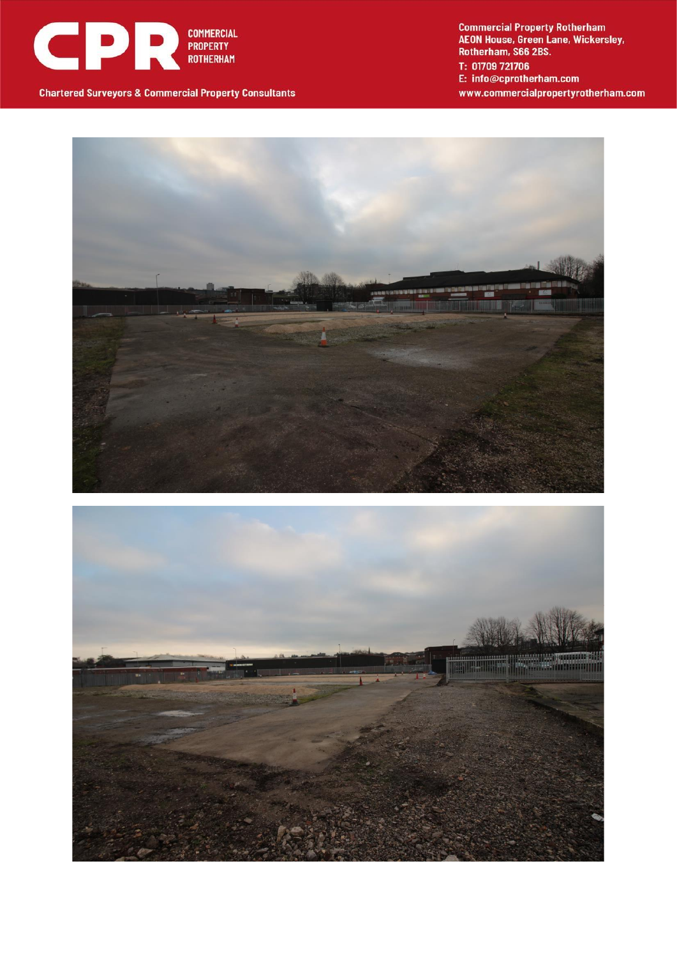

Commercial Property Rotherham<br>AEON House, Green Lane, Wickersley, Rotherham, S66 2BS. T: 01709 721706 E: info@cprotherham.com www.commercialpropertyrotherham.com